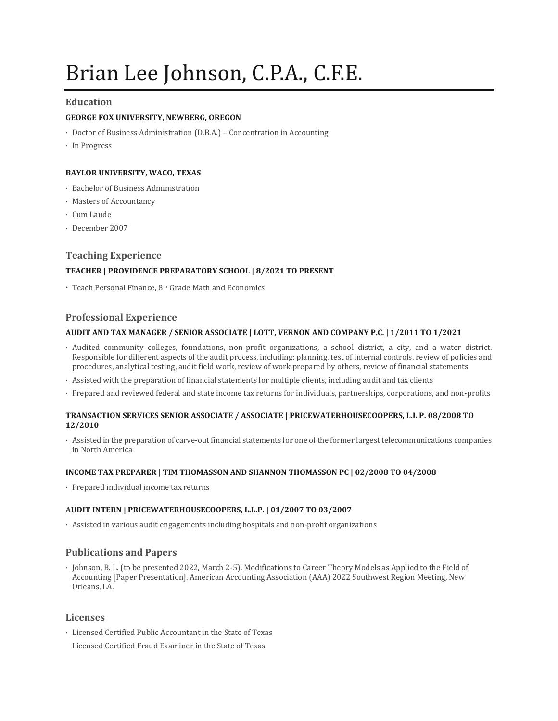# Brian Lee Johnson, C.P.A., C.F.E.

## **Education**

## **GEORGE FOX UNIVERSITY, NEWBERG, OREGON**

- · Doctor of Business Administration (D.B.A.) Concentration in Accounting
- · In Progress

## **BAYLOR UNIVERSITY, WACO, TEXAS**

- · Bachelor of Business Administration
- · Masters of Accountancy
- · Cum Laude
- · December 2007

## **Teaching Experience**

## **TEACHER | PROVIDENCE PREPARATORY SCHOOL | 8/2021 TO PRESENT**

· Teach Personal Finance, 8th Grade Math and Economics

## **Professional Experience**

#### **AUDIT AND TAX MANAGER / SENIOR ASSOCIATE | LOTT, VERNON AND COMPANY P.C. | 1/2011 TO 1/2021**

- · Audited community colleges, foundations, non-profit organizations, a school district, a city, and a water district. Responsible for different aspects of the audit process, including: planning, test of internal controls, review of policies and procedures, analytical testing, audit field work, review of work prepared by others, review of financial statements
- · Assisted with the preparation of financial statements for multiple clients, including audit and tax clients
- · Prepared and reviewed federal and state income tax returns for individuals, partnerships, corporations, and non-profits

#### **TRANSACTION SERVICES SENIOR ASSOCIATE / ASSOCIATE | PRICEWATERHOUSECOOPERS, L.L.P. 08/2008 TO 12/2010**

· Assisted in the preparation of carve-out financial statements for one of the former largest telecommunications companies in North America

#### **INCOME TAX PREPARER | TIM THOMASSON AND SHANNON THOMASSON PC | 02/2008 TO 04/2008**

· Prepared individual income tax returns

#### **AUDIT INTERN | PRICEWATERHOUSECOOPERS, L.L.P. | 01/2007 TO 03/2007**

· Assisted in various audit engagements including hospitals and non-profit organizations

#### **Publications and Papers**

· Johnson, B. L. (to be presented 2022, March 2-5). Modifications to Career Theory Models as Applied to the Field of Accounting [Paper Presentation]. American Accounting Association (AAA) 2022 Southwest Region Meeting, New Orleans, LA.

#### **Licenses**

- · Licensed Certified Public Accountant in the State of Texas
- Licensed Certified Fraud Examiner in the State of Texas